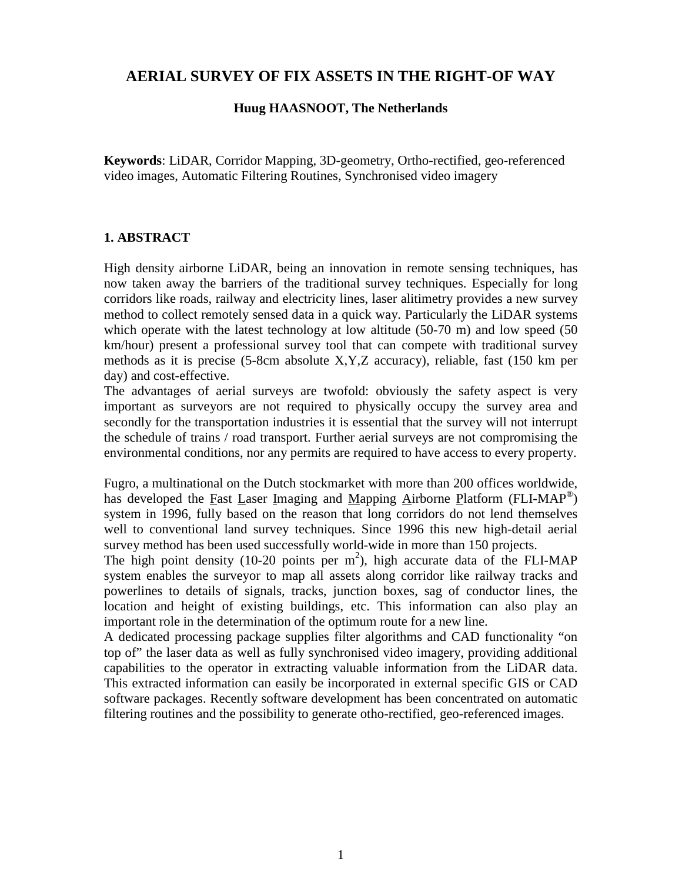# **AERIAL SURVEY OF FIX ASSETS IN THE RIGHT-OF WAY**

#### **Huug HAASNOOT, The Netherlands**

**Keywords**: LiDAR, Corridor Mapping, 3D-geometry, Ortho-rectified, geo-referenced video images, Automatic Filtering Routines, Synchronised video imagery

#### **1. ABSTRACT**

High density airborne LiDAR, being an innovation in remote sensing techniques, has now taken away the barriers of the traditional survey techniques. Especially for long corridors like roads, railway and electricity lines, laser alitimetry provides a new survey method to collect remotely sensed data in a quick way. Particularly the LiDAR systems which operate with the latest technology at low altitude (50-70 m) and low speed (50 km/hour) present a professional survey tool that can compete with traditional survey methods as it is precise (5-8cm absolute X,Y,Z accuracy), reliable, fast (150 km per day) and cost-effective.

The advantages of aerial surveys are twofold: obviously the safety aspect is very important as surveyors are not required to physically occupy the survey area and secondly for the transportation industries it is essential that the survey will not interrupt the schedule of trains / road transport. Further aerial surveys are not compromising the environmental conditions, nor any permits are required to have access to every property.

Fugro, a multinational on the Dutch stockmarket with more than 200 offices worldwide, has developed the Fast Laser Imaging and Mapping Airborne Platform (FLI-MAP<sup>®</sup>) system in 1996, fully based on the reason that long corridors do not lend themselves well to conventional land survey techniques. Since 1996 this new high-detail aerial survey method has been used successfully world-wide in more than 150 projects.

The high point density (10-20 points per  $m^2$ ), high accurate data of the FLI-MAP system enables the surveyor to map all assets along corridor like railway tracks and powerlines to details of signals, tracks, junction boxes, sag of conductor lines, the location and height of existing buildings, etc. This information can also play an important role in the determination of the optimum route for a new line.

A dedicated processing package supplies filter algorithms and CAD functionality "on top of" the laser data as well as fully synchronised video imagery, providing additional capabilities to the operator in extracting valuable information from the LiDAR data. This extracted information can easily be incorporated in external specific GIS or CAD software packages. Recently software development has been concentrated on automatic filtering routines and the possibility to generate otho-rectified, geo-referenced images.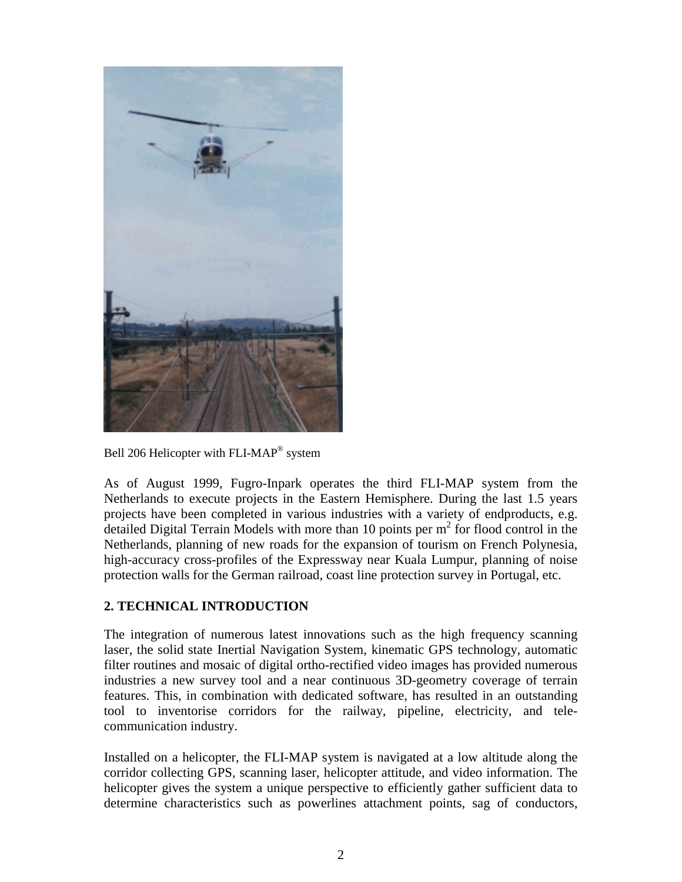

Bell 206 Helicopter with FLI-MAP® system

As of August 1999, Fugro-Inpark operates the third FLI-MAP system from the Netherlands to execute projects in the Eastern Hemisphere. During the last 1.5 years projects have been completed in various industries with a variety of endproducts, e.g. detailed Digital Terrain Models with more than 10 points per  $m^2$  for flood control in the Netherlands, planning of new roads for the expansion of tourism on French Polynesia, high-accuracy cross-profiles of the Expressway near Kuala Lumpur, planning of noise protection walls for the German railroad, coast line protection survey in Portugal, etc.

# **2. TECHNICAL INTRODUCTION**

The integration of numerous latest innovations such as the high frequency scanning laser, the solid state Inertial Navigation System, kinematic GPS technology, automatic filter routines and mosaic of digital ortho-rectified video images has provided numerous industries a new survey tool and a near continuous 3D-geometry coverage of terrain features. This, in combination with dedicated software, has resulted in an outstanding tool to inventorise corridors for the railway, pipeline, electricity, and telecommunication industry.

Installed on a helicopter, the FLI-MAP system is navigated at a low altitude along the corridor collecting GPS, scanning laser, helicopter attitude, and video information. The helicopter gives the system a unique perspective to efficiently gather sufficient data to determine characteristics such as powerlines attachment points, sag of conductors,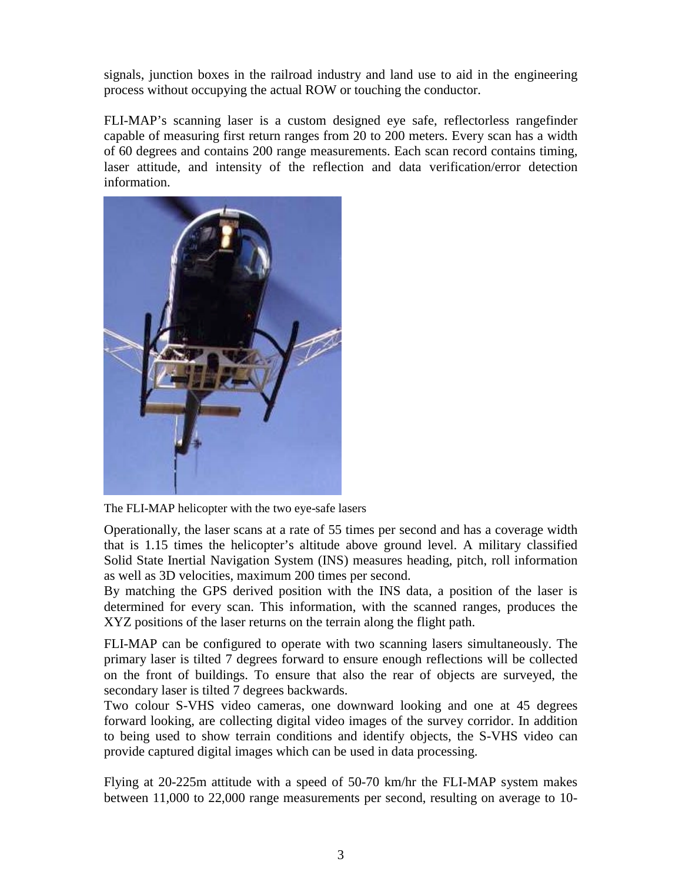signals, junction boxes in the railroad industry and land use to aid in the engineering process without occupying the actual ROW or touching the conductor.

FLI-MAP's scanning laser is a custom designed eye safe, reflectorless rangefinder capable of measuring first return ranges from 20 to 200 meters. Every scan has a width of 60 degrees and contains 200 range measurements. Each scan record contains timing, laser attitude, and intensity of the reflection and data verification/error detection information.



The FLI-MAP helicopter with the two eye-safe lasers

Operationally, the laser scans at a rate of 55 times per second and has a coverage width that is 1.15 times the helicopter's altitude above ground level. A military classified Solid State Inertial Navigation System (INS) measures heading, pitch, roll information as well as 3D velocities, maximum 200 times per second.

By matching the GPS derived position with the INS data, a position of the laser is determined for every scan. This information, with the scanned ranges, produces the XYZ positions of the laser returns on the terrain along the flight path.

FLI-MAP can be configured to operate with two scanning lasers simultaneously. The primary laser is tilted 7 degrees forward to ensure enough reflections will be collected on the front of buildings. To ensure that also the rear of objects are surveyed, the secondary laser is tilted 7 degrees backwards.

Two colour S-VHS video cameras, one downward looking and one at 45 degrees forward looking, are collecting digital video images of the survey corridor. In addition to being used to show terrain conditions and identify objects, the S-VHS video can provide captured digital images which can be used in data processing.

Flying at 20-225m attitude with a speed of 50-70 km/hr the FLI-MAP system makes between 11,000 to 22,000 range measurements per second, resulting on average to 10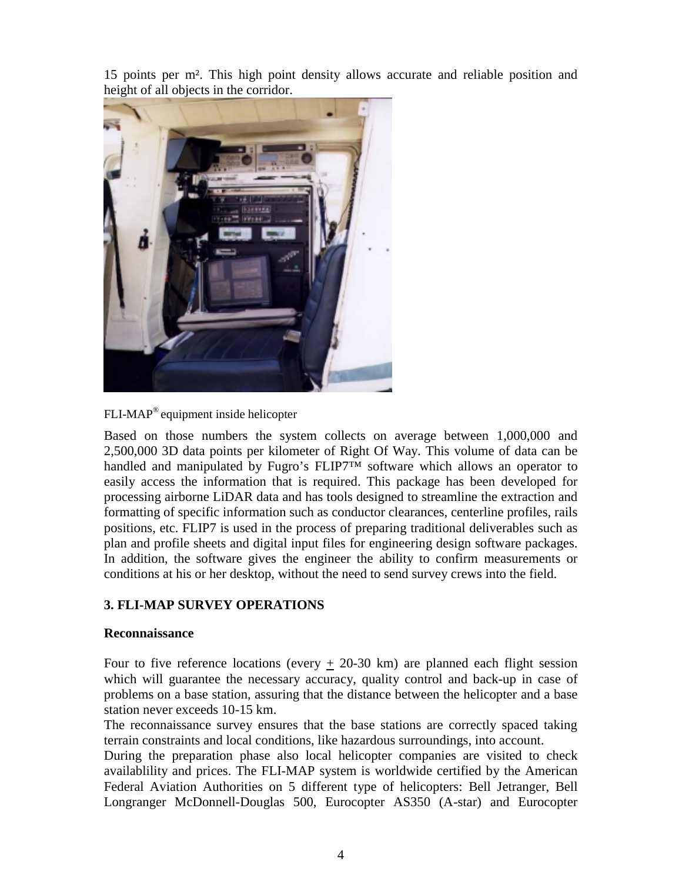15 points per m². This high point density allows accurate and reliable position and height of all objects in the corridor.



FLI-MAP® equipment inside helicopter

Based on those numbers the system collects on average between 1,000,000 and 2,500,000 3D data points per kilometer of Right Of Way. This volume of data can be handled and manipulated by Fugro's FLIP7™ software which allows an operator to easily access the information that is required. This package has been developed for processing airborne LiDAR data and has tools designed to streamline the extraction and formatting of specific information such as conductor clearances, centerline profiles, rails positions, etc. FLIP7 is used in the process of preparing traditional deliverables such as plan and profile sheets and digital input files for engineering design software packages. In addition, the software gives the engineer the ability to confirm measurements or conditions at his or her desktop, without the need to send survey crews into the field.

#### **3. FLI-MAP SURVEY OPERATIONS**

#### **Reconnaissance**

Four to five reference locations (every  $\pm$  20-30 km) are planned each flight session which will guarantee the necessary accuracy, quality control and back-up in case of problems on a base station, assuring that the distance between the helicopter and a base station never exceeds 10-15 km.

The reconnaissance survey ensures that the base stations are correctly spaced taking terrain constraints and local conditions, like hazardous surroundings, into account.

During the preparation phase also local helicopter companies are visited to check availablility and prices. The FLI-MAP system is worldwide certified by the American Federal Aviation Authorities on 5 different type of helicopters: Bell Jetranger, Bell Longranger McDonnell-Douglas 500, Eurocopter AS350 (A-star) and Eurocopter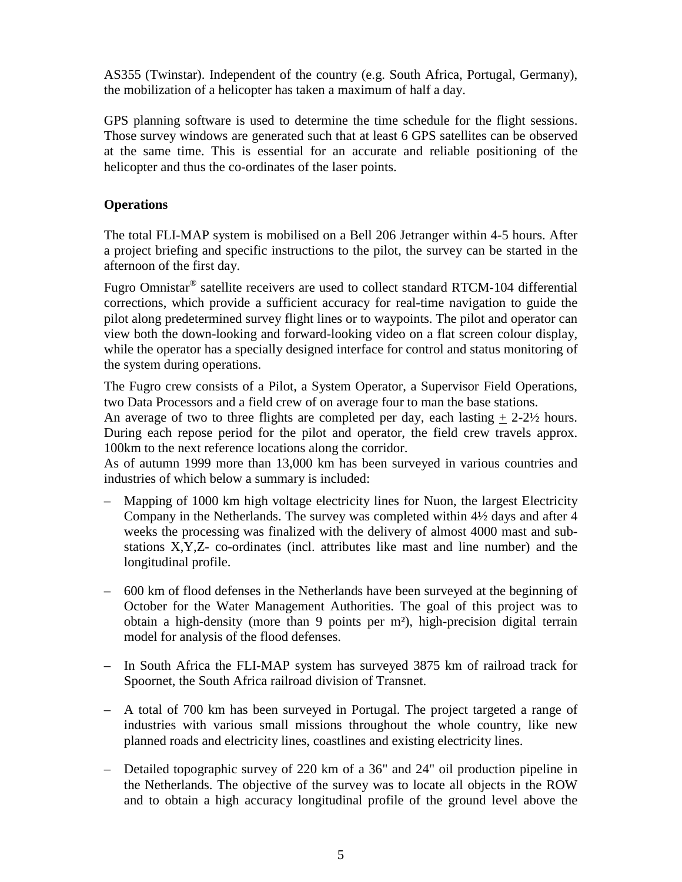AS355 (Twinstar). Independent of the country (e.g. South Africa, Portugal, Germany), the mobilization of a helicopter has taken a maximum of half a day.

GPS planning software is used to determine the time schedule for the flight sessions. Those survey windows are generated such that at least 6 GPS satellites can be observed at the same time. This is essential for an accurate and reliable positioning of the helicopter and thus the co-ordinates of the laser points.

### **Operations**

The total FLI-MAP system is mobilised on a Bell 206 Jetranger within 4-5 hours. After a project briefing and specific instructions to the pilot, the survey can be started in the afternoon of the first day.

Fugro Omnistar® satellite receivers are used to collect standard RTCM-104 differential corrections, which provide a sufficient accuracy for real-time navigation to guide the pilot along predetermined survey flight lines or to waypoints. The pilot and operator can view both the down-looking and forward-looking video on a flat screen colour display, while the operator has a specially designed interface for control and status monitoring of the system during operations.

The Fugro crew consists of a Pilot, a System Operator, a Supervisor Field Operations, two Data Processors and a field crew of on average four to man the base stations.

An average of two to three flights are completed per day, each lasting  $+2-2\frac{1}{2}$  hours. During each repose period for the pilot and operator, the field crew travels approx. 100km to the next reference locations along the corridor.

As of autumn 1999 more than 13,000 km has been surveyed in various countries and industries of which below a summary is included:

- Mapping of 1000 km high voltage electricity lines for Nuon, the largest Electricity Company in the Netherlands. The survey was completed within 4½ days and after 4 weeks the processing was finalized with the delivery of almost 4000 mast and substations X,Y,Z- co-ordinates (incl. attributes like mast and line number) and the longitudinal profile.
- 600 km of flood defenses in the Netherlands have been surveyed at the beginning of October for the Water Management Authorities. The goal of this project was to obtain a high-density (more than 9 points per m²), high-precision digital terrain model for analysis of the flood defenses.
- In South Africa the FLI-MAP system has surveyed 3875 km of railroad track for Spoornet, the South Africa railroad division of Transnet.
- A total of 700 km has been surveyed in Portugal. The project targeted a range of industries with various small missions throughout the whole country, like new planned roads and electricity lines, coastlines and existing electricity lines.
- Detailed topographic survey of 220 km of a 36" and 24" oil production pipeline in the Netherlands. The objective of the survey was to locate all objects in the ROW and to obtain a high accuracy longitudinal profile of the ground level above the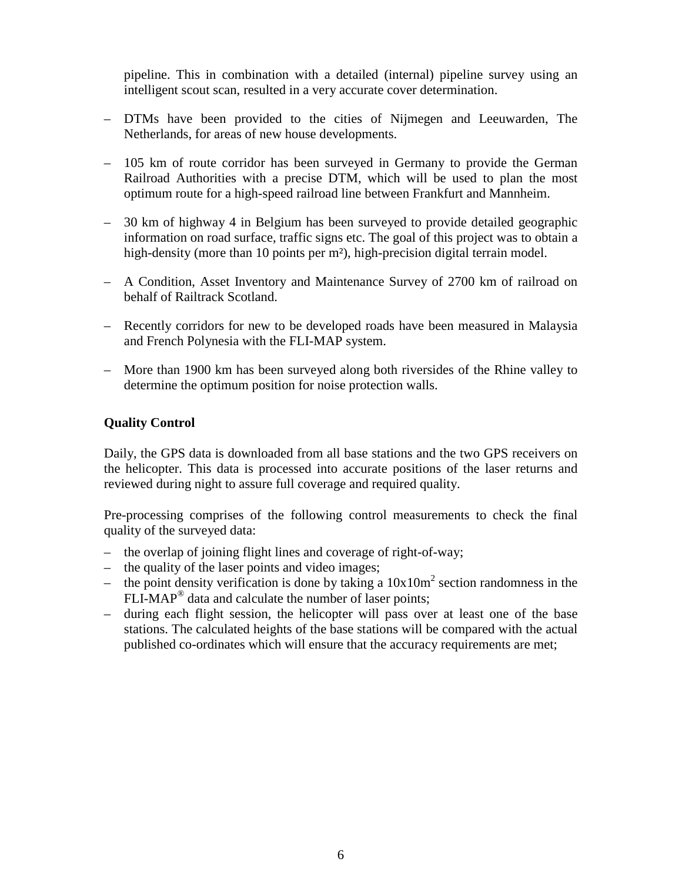pipeline. This in combination with a detailed (internal) pipeline survey using an intelligent scout scan, resulted in a very accurate cover determination.

- DTMs have been provided to the cities of Nijmegen and Leeuwarden, The Netherlands, for areas of new house developments.
- 105 km of route corridor has been surveyed in Germany to provide the German Railroad Authorities with a precise DTM, which will be used to plan the most optimum route for a high-speed railroad line between Frankfurt and Mannheim.
- 30 km of highway 4 in Belgium has been surveyed to provide detailed geographic information on road surface, traffic signs etc. The goal of this project was to obtain a high-density (more than 10 points per m<sup>2</sup>), high-precision digital terrain model.
- A Condition, Asset Inventory and Maintenance Survey of 2700 km of railroad on behalf of Railtrack Scotland.
- Recently corridors for new to be developed roads have been measured in Malaysia and French Polynesia with the FLI-MAP system.
- More than 1900 km has been surveyed along both riversides of the Rhine valley to determine the optimum position for noise protection walls.

### **Quality Control**

Daily, the GPS data is downloaded from all base stations and the two GPS receivers on the helicopter. This data is processed into accurate positions of the laser returns and reviewed during night to assure full coverage and required quality.

Pre-processing comprises of the following control measurements to check the final quality of the surveyed data:

- the overlap of joining flight lines and coverage of right-of-way;
- the quality of the laser points and video images;
- $-$  the point density verification is done by taking a  $10x10m<sup>2</sup>$  section randomness in the  $FLI-MAP<sup>®</sup>$  data and calculate the number of laser points;
- during each flight session, the helicopter will pass over at least one of the base stations. The calculated heights of the base stations will be compared with the actual published co-ordinates which will ensure that the accuracy requirements are met;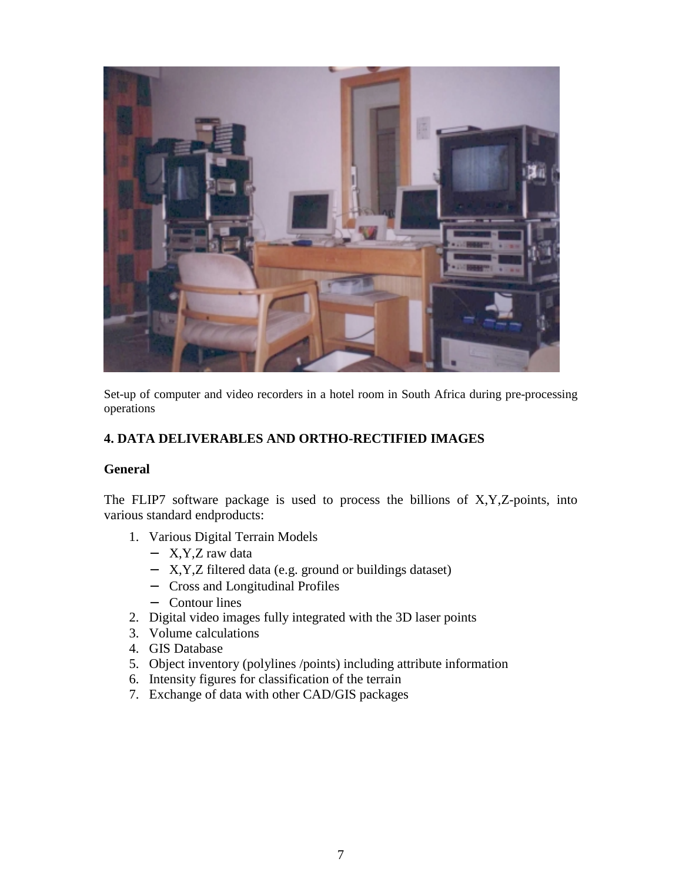

Set-up of computer and video recorders in a hotel room in South Africa during pre-processing operations

## **4. DATA DELIVERABLES AND ORTHO-RECTIFIED IMAGES**

#### **General**

The FLIP7 software package is used to process the billions of  $X, Y, Z$ -points, into various standard endproducts:

- 1. Various Digital Terrain Models
	- − X,Y,Z raw data
	- − X,Y,Z filtered data (e.g. ground or buildings dataset)
	- − Cross and Longitudinal Profiles
	- − Contour lines
- 2. Digital video images fully integrated with the 3D laser points
- 3. Volume calculations
- 4. GIS Database
- 5. Object inventory (polylines /points) including attribute information
- 6. Intensity figures for classification of the terrain
- 7. Exchange of data with other CAD/GIS packages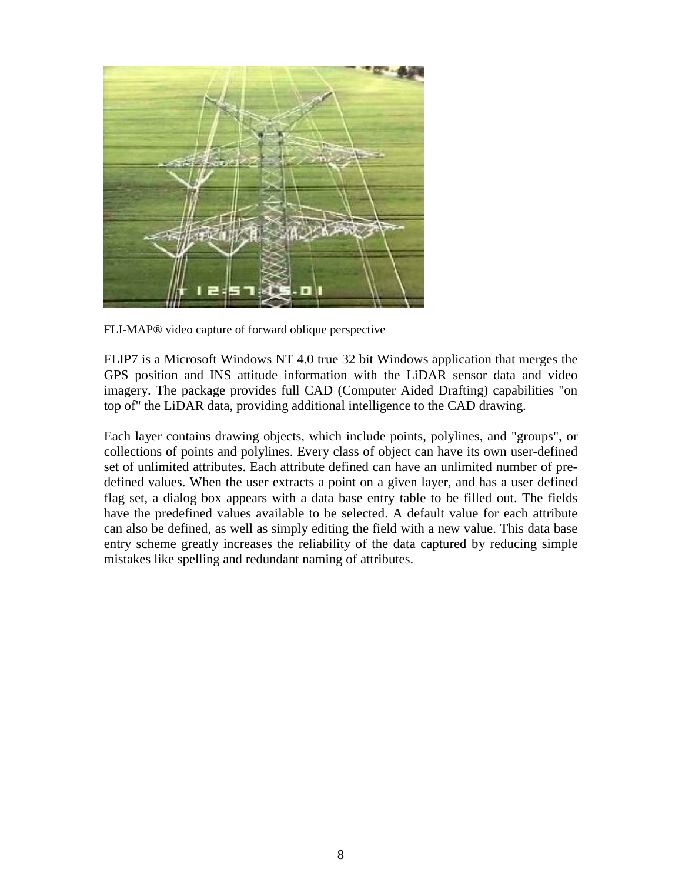

FLI-MAP® video capture of forward oblique perspective

FLIP7 is a Microsoft Windows NT 4.0 true 32 bit Windows application that merges the GPS position and INS attitude information with the LiDAR sensor data and video imagery. The package provides full CAD (Computer Aided Drafting) capabilities "on top of" the LiDAR data, providing additional intelligence to the CAD drawing.

Each layer contains drawing objects, which include points, polylines, and "groups", or collections of points and polylines. Every class of object can have its own user-defined set of unlimited attributes. Each attribute defined can have an unlimited number of predefined values. When the user extracts a point on a given layer, and has a user defined flag set, a dialog box appears with a data base entry table to be filled out. The fields have the predefined values available to be selected. A default value for each attribute can also be defined, as well as simply editing the field with a new value. This data base entry scheme greatly increases the reliability of the data captured by reducing simple mistakes like spelling and redundant naming of attributes.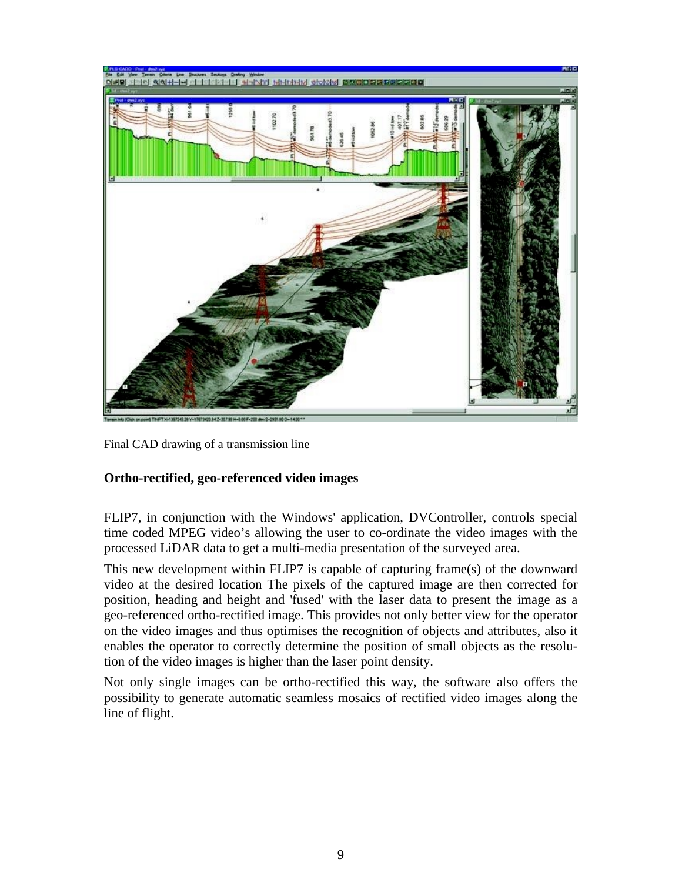

Final CAD drawing of a transmission line

### **Ortho-rectified, geo-referenced video images**

FLIP7, in conjunction with the Windows' application, DVController, controls special time coded MPEG video's allowing the user to co-ordinate the video images with the processed LiDAR data to get a multi-media presentation of the surveyed area.

This new development within FLIP7 is capable of capturing frame(s) of the downward video at the desired location The pixels of the captured image are then corrected for position, heading and height and 'fused' with the laser data to present the image as a geo-referenced ortho-rectified image. This provides not only better view for the operator on the video images and thus optimises the recognition of objects and attributes, also it enables the operator to correctly determine the position of small objects as the resolution of the video images is higher than the laser point density.

Not only single images can be ortho-rectified this way, the software also offers the possibility to generate automatic seamless mosaics of rectified video images along the line of flight.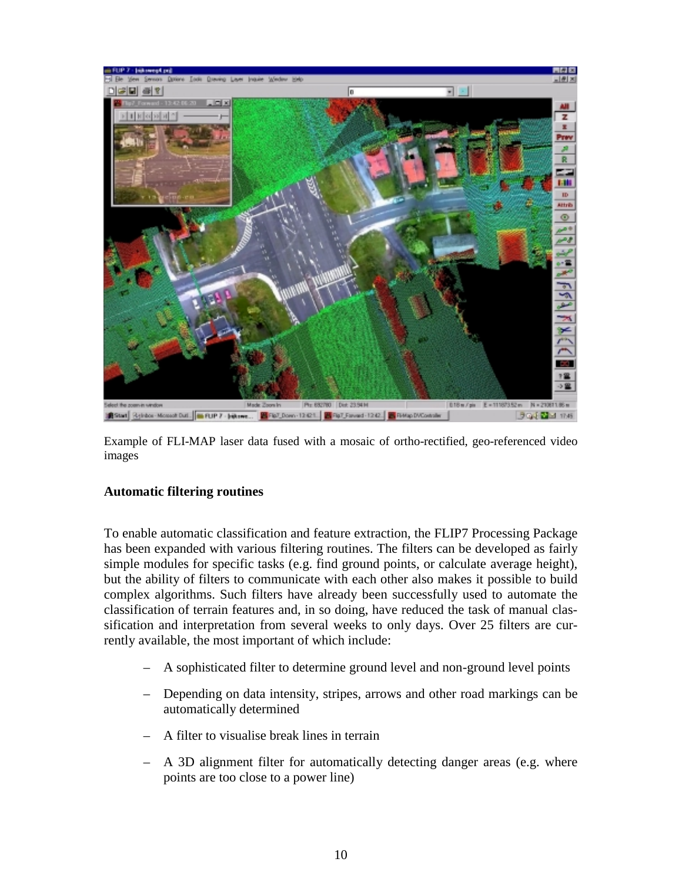

Example of FLI-MAP laser data fused with a mosaic of ortho-rectified, geo-referenced video images

#### **Automatic filtering routines**

To enable automatic classification and feature extraction, the FLIP7 Processing Package has been expanded with various filtering routines. The filters can be developed as fairly simple modules for specific tasks (e.g. find ground points, or calculate average height), but the ability of filters to communicate with each other also makes it possible to build complex algorithms. Such filters have already been successfully used to automate the classification of terrain features and, in so doing, have reduced the task of manual classification and interpretation from several weeks to only days. Over 25 filters are currently available, the most important of which include:

- A sophisticated filter to determine ground level and non-ground level points
- Depending on data intensity, stripes, arrows and other road markings can be automatically determined
- A filter to visualise break lines in terrain
- A 3D alignment filter for automatically detecting danger areas (e.g. where points are too close to a power line)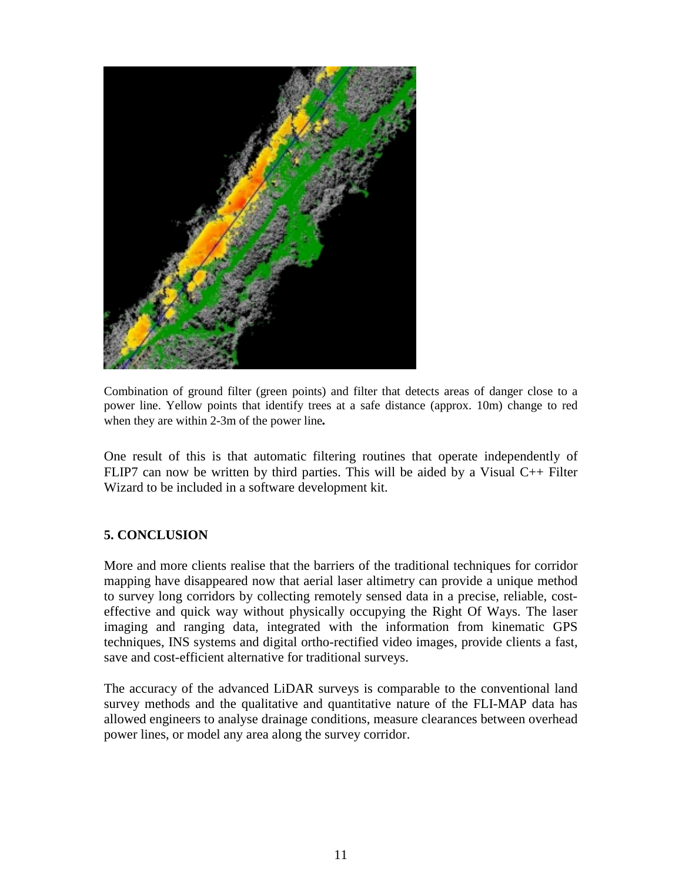

Combination of ground filter (green points) and filter that detects areas of danger close to a power line. Yellow points that identify trees at a safe distance (approx. 10m) change to red when they are within 2-3m of the power line*.*

One result of this is that automatic filtering routines that operate independently of FLIP7 can now be written by third parties. This will be aided by a Visual C++ Filter Wizard to be included in a software development kit.

### **5. CONCLUSION**

More and more clients realise that the barriers of the traditional techniques for corridor mapping have disappeared now that aerial laser altimetry can provide a unique method to survey long corridors by collecting remotely sensed data in a precise, reliable, costeffective and quick way without physically occupying the Right Of Ways. The laser imaging and ranging data, integrated with the information from kinematic GPS techniques, INS systems and digital ortho-rectified video images, provide clients a fast, save and cost-efficient alternative for traditional surveys.

The accuracy of the advanced LiDAR surveys is comparable to the conventional land survey methods and the qualitative and quantitative nature of the FLI-MAP data has allowed engineers to analyse drainage conditions, measure clearances between overhead power lines, or model any area along the survey corridor.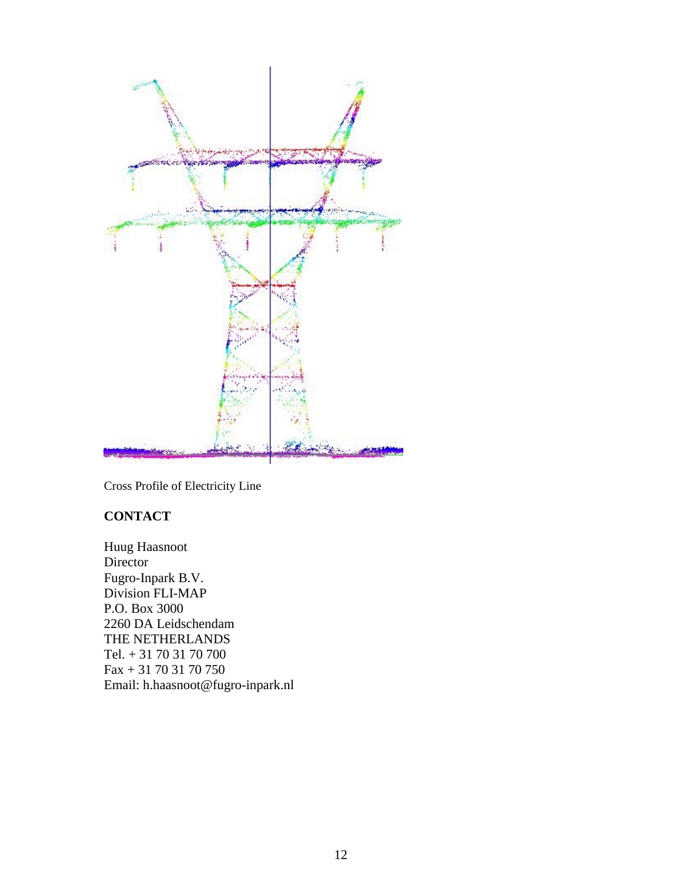

Cross Profile of Electricity Line

# **CONTACT**

Huug Haasnoot Director Fugro-Inpark B.V. Division FLI-MAP P.O. Box 3000 2260 DA Leidschendam THE NETHERLANDS Tel. + 31 70 31 70 700 Fax + 31 70 31 70 750 Email: h.haasnoot@fugro-inpark.nl